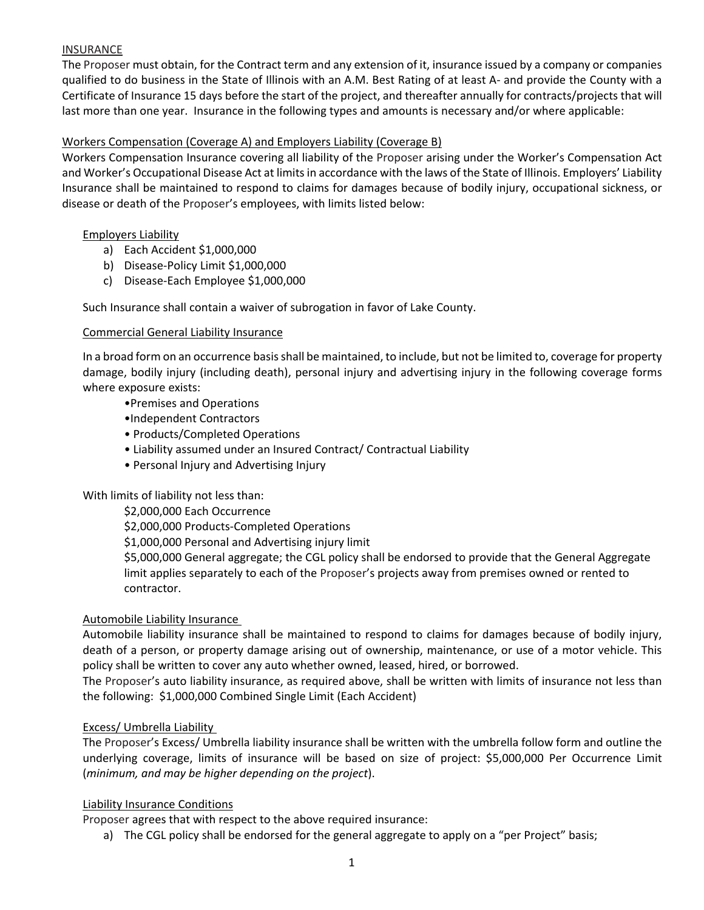# **INSURANCE**

The Proposer must obtain, for the Contract term and any extension of it, insurance issued by a company or companies qualified to do business in the State of Illinois with an A.M. Best Rating of at least A‐ and provide the County with a Certificate of Insurance 15 days before the start of the project, and thereafter annually for contracts/projects that will last more than one year. Insurance in the following types and amounts is necessary and/or where applicable:

## Workers Compensation (Coverage A) and Employers Liability (Coverage B)

Workers Compensation Insurance covering all liability of the Proposer arising under the Worker's Compensation Act and Worker's Occupational Disease Act at limits in accordance with the laws of the State of Illinois. Employers' Liability Insurance shall be maintained to respond to claims for damages because of bodily injury, occupational sickness, or disease or death of the Proposer's employees, with limits listed below:

### Employers Liability

- a) Each Accident \$1,000,000
- b) Disease‐Policy Limit \$1,000,000
- c) Disease‐Each Employee \$1,000,000

Such Insurance shall contain a waiver of subrogation in favor of Lake County.

### Commercial General Liability Insurance

In a broad form on an occurrence basis shall be maintained, to include, but not be limited to, coverage for property damage, bodily injury (including death), personal injury and advertising injury in the following coverage forms where exposure exists:

- •Premises and Operations
- •Independent Contractors
- Products/Completed Operations
- Liability assumed under an Insured Contract/ Contractual Liability
- Personal Injury and Advertising Injury

# With limits of liability not less than:

\$2,000,000 Each Occurrence

\$2,000,000 Products‐Completed Operations

\$1,000,000 Personal and Advertising injury limit

\$5,000,000 General aggregate; the CGL policy shall be endorsed to provide that the General Aggregate limit applies separately to each of the Proposer's projects away from premises owned or rented to contractor.

#### Automobile Liability Insurance

Automobile liability insurance shall be maintained to respond to claims for damages because of bodily injury, death of a person, or property damage arising out of ownership, maintenance, or use of a motor vehicle. This policy shall be written to cover any auto whether owned, leased, hired, or borrowed.

The Proposer's auto liability insurance, as required above, shall be written with limits of insurance not less than the following: \$1,000,000 Combined Single Limit (Each Accident)

# Excess/ Umbrella Liability

The Proposer's Excess/ Umbrella liability insurance shall be written with the umbrella follow form and outline the underlying coverage, limits of insurance will be based on size of project: \$5,000,000 Per Occurrence Limit (*minimum, and may be higher depending on the project*).

#### Liability Insurance Conditions

Proposer agrees that with respect to the above required insurance:

a) The CGL policy shall be endorsed for the general aggregate to apply on a "per Project" basis;